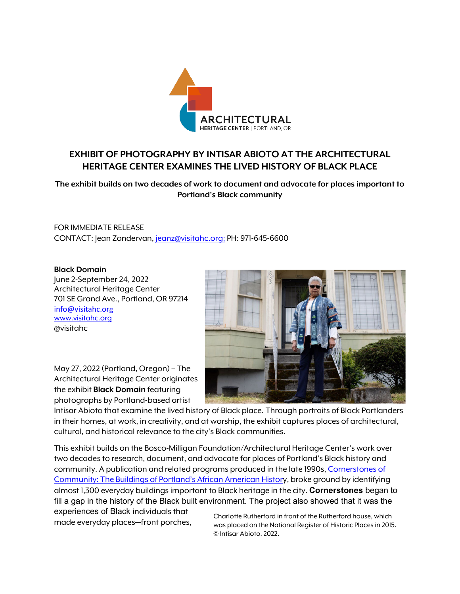

## **EXHIBIT OF PHOTOGRAPHY BY INTISAR ABIOTO AT THE ARCHITECTURAL HERITAGE CENTER EXAMINES THE LIVED HISTORY OF BLACK PLACE**

**The exhibit builds on two decades of work to document and advocate for places important to Portland's Black community**

FOR IMMEDIATE RELEASE CONTACT: Jean Zondervan, [jeanz@visitahc.org;](mailto:jeanz@visitahc.org) PH: 971-645-6600

## **Black Domain**

June 2-September 24, 2022 Architectural Heritage Center 701 SE Grand Ave., Portland, OR 97214 info@visitahc.org [www.visitahc.org](http://www.visitahc.org/) @visitahc



May 27, 2022 (Portland, Oregon) – The Architectural Heritage Center originates the exhibit **Black Domain** featuring photographs by Portland-based artist

Intisar Abioto that examine the lived history of Black place. Through portraits of Black Portlanders in their homes, at work, in creativity, and at worship, the exhibit captures places of architectural, cultural, and historical relevance to the city's Black communities.

This exhibit builds on the Bosco-Milligan Foundation/Architectural Heritage Center's work over two decades to research, document, and advocate for places of Portland's Black history and community. A publication and related programs produced in the late 1990s[, Cornerstones of](https://digital.osl.state.or.us/islandora/object/osl:12484)  [Community: The Buildings of Portland's African American History](https://digital.osl.state.or.us/islandora/object/osl:12484), broke ground by identifying almost 1,300 everyday buildings important to Black heritage in the city. **Cornerstones** began to fill a gap in the history of the Black built environment. The project also showed that it was the

experiences of Black individuals that

Experiences of Black incividuals film<br>made everyday places—front porches, was placed on the National Begister of Historic Places in 2015 was placed on the National Register of Historic Places in 2015. © Intisar Abioto, 2022.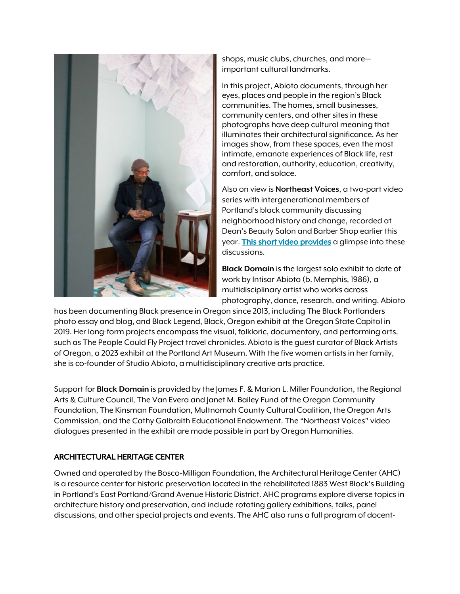

shops, music clubs, churches, and more important cultural landmarks.

In this project, Abioto documents, through her eyes, places and people in the region's Black communities. The homes, small businesses, community centers, and other sites in these photographs have deep cultural meaning that illuminates their architectural significance. As her images show, from these spaces, even the most intimate, emanate experiences of Black life, rest and restoration, authority, education, creativity, comfort, and solace.

Also on view is **Northeast Voices**, a two-part video series with intergenerational members of Portland's black community discussing neighborhood history and change, recorded at Dean's Beauty Salon and Barber Shop earlier this year. [This short video provides](https://youtu.be/FrbFhRl2EJI) a glimpse into these discussions.

**Black Domain** is the largest solo exhibit to date of work by Intisar Abioto (b. Memphis, 1986), a multidisciplinary artist who works across photography, dance, research, and writing. Abioto

has been documenting Black presence in Oregon since 2013, including The Black Portlanders photo essay and blog, and Black Legend, Black, Oregon exhibit at the Oregon State Capitol in 2019. Her long-form projects encompass the visual, folkloric, documentary, and performing arts, such as The People Could Fly Project travel chronicles. Abioto is the guest curator of Black Artists of Oregon, a 2023 exhibit at the Portland Art Museum. With the five women artists in her family, she is co-founder of Studio Abioto, a multidisciplinary creative arts practice.

Support for **Black Domain** is provided by the James F. & Marion L. Miller Foundation, the Regional Arts & Culture Council, The Van Evera and Janet M. Bailey Fund of the Oregon Community Foundation, The Kinsman Foundation, Multnomah County Cultural Coalition, the Oregon Arts Commission, and the Cathy Galbraith Educational Endowment. The "Northeast Voices" video dialogues presented in the exhibit are made possible in part by Oregon Humanities.

## ARCHITECTURAL HERITAGE CENTER

Owned and operated by the Bosco-Milligan Foundation, the Architectural Heritage Center (AHC) is a resource center for historic preservation located in the rehabilitated 1883 West Block's Building in Portland's East Portland/Grand Avenue Historic District. AHC programs explore diverse topics in architecture history and preservation, and include rotating gallery exhibitions, talks, panel discussions, and other special projects and events. The AHC also runs a full program of docent